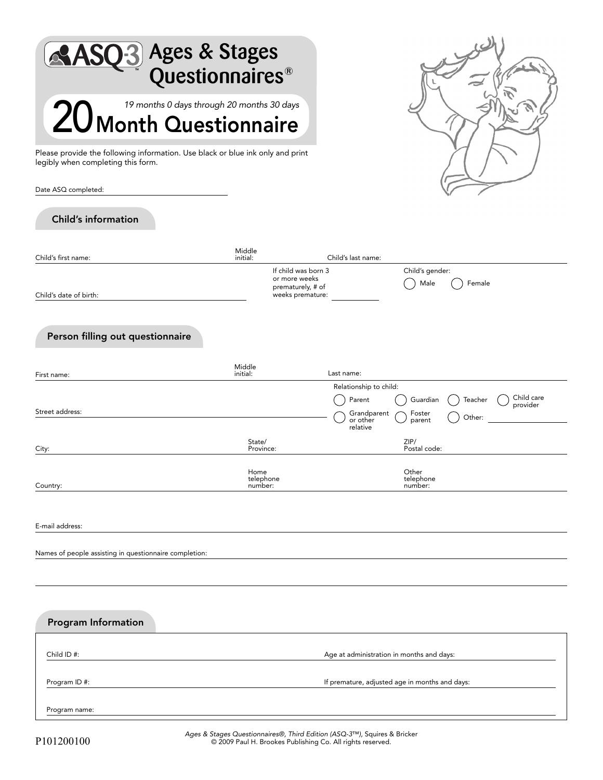| <b>SQ-3</b> Ages & Stages<br>Questionnaires®<br>19 months 0 days through 20 months 30 days                           |                              |                                                                               |                                                |                               | LS                                          |
|----------------------------------------------------------------------------------------------------------------------|------------------------------|-------------------------------------------------------------------------------|------------------------------------------------|-------------------------------|---------------------------------------------|
| 20 Month Questionnaire                                                                                               |                              |                                                                               |                                                |                               |                                             |
| Please provide the following information. Use black or blue ink only and print<br>legibly when completing this form. |                              |                                                                               |                                                |                               |                                             |
| Date ASQ completed:                                                                                                  |                              |                                                                               |                                                |                               |                                             |
| <b>Child's information</b>                                                                                           |                              |                                                                               |                                                |                               |                                             |
| Child's first name:                                                                                                  | Middle<br>initial:           |                                                                               | Child's last name:                             |                               |                                             |
| Child's date of birth:                                                                                               |                              | If child was born 3<br>or more weeks<br>prematurely, # of<br>weeks premature: |                                                | Child's gender:<br>Male       | Female                                      |
| Person filling out questionnaire                                                                                     | Middle                       |                                                                               |                                                |                               |                                             |
| First name:                                                                                                          | initial:                     |                                                                               | Last name:<br>Relationship to child:           |                               |                                             |
| Street address:                                                                                                      |                              |                                                                               | Parent<br>Grandparent<br>or other              | Guardian<br>Foster<br>parent  | Child care<br>Teacher<br>provider<br>Other: |
| City:                                                                                                                | State/<br>Province:          |                                                                               | relative                                       | ZIP/<br>Postal code:          |                                             |
| Country:                                                                                                             | Home<br>telephone<br>number: |                                                                               |                                                | Other<br>telephone<br>number: |                                             |
| E-mail address:                                                                                                      |                              |                                                                               |                                                |                               |                                             |
| Names of people assisting in questionnaire completion:                                                               |                              |                                                                               |                                                |                               |                                             |
|                                                                                                                      |                              |                                                                               |                                                |                               |                                             |
|                                                                                                                      |                              |                                                                               |                                                |                               |                                             |
| <b>Program Information</b>                                                                                           |                              |                                                                               |                                                |                               |                                             |
| Child ID #:                                                                                                          |                              |                                                                               | Age at administration in months and days:      |                               |                                             |
| Program ID #:                                                                                                        |                              |                                                                               | If premature, adjusted age in months and days: |                               |                                             |
| Program name:                                                                                                        |                              |                                                                               |                                                |                               |                                             |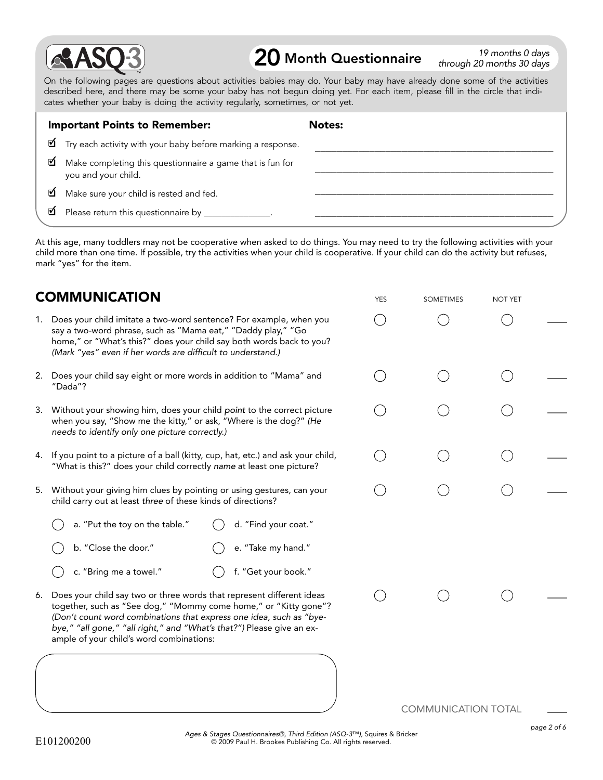

## **20** Month Questionnaire  $\frac{19 \text{ months } 0 \text{ days}}{4 \text{ hours } 30 \text{ days}}$

through 20 months 30 days

YES SOMETIMES NOT YET

On the following pages are questions about activities babies may do. Your baby may have already done some of the activities described here, and there may be some your baby has not begun doing yet. For each item, please fill in the circle that indicates whether your baby is doing the activity regularly, sometimes, or not yet.

|    | <b>Important Points to Remember:</b>                                             | <b>Notes:</b> |
|----|----------------------------------------------------------------------------------|---------------|
|    | Try each activity with your baby before marking a response.                      |               |
| ☑  | Make completing this questionnaire a game that is fun for<br>you and your child. |               |
| ิฬ | Make sure your child is rested and fed.                                          |               |
| ☑  | Please return this questionnaire by _______________.                             |               |

At this age, many toddlers may not be cooperative when asked to do things. You may need to try the following activities with your child more than one time. If possible, try the activities when your child is cooperative. If your child can do the activity but refuses, mark "yes" for the item.

## COMMUNICATION

|    | 1. Does your child imitate a two-word sentence? For example, when you<br>say a two-word phrase, such as "Mama eat," "Daddy play," "Go<br>home," or "What's this?" does your child say both words back to you?<br>(Mark "yes" even if her words are difficult to understand.)                                                          |                            |  |
|----|---------------------------------------------------------------------------------------------------------------------------------------------------------------------------------------------------------------------------------------------------------------------------------------------------------------------------------------|----------------------------|--|
|    | 2. Does your child say eight or more words in addition to "Mama" and<br>"Dada"?                                                                                                                                                                                                                                                       |                            |  |
|    | 3. Without your showing him, does your child point to the correct picture<br>when you say, "Show me the kitty," or ask, "Where is the dog?" (He<br>needs to identify only one picture correctly.)                                                                                                                                     |                            |  |
|    | 4. If you point to a picture of a ball (kitty, cup, hat, etc.) and ask your child,<br>"What is this?" does your child correctly name at least one picture?                                                                                                                                                                            |                            |  |
|    | 5. Without your giving him clues by pointing or using gestures, can your<br>child carry out at least three of these kinds of directions?                                                                                                                                                                                              |                            |  |
|    | a. "Put the toy on the table."<br>d. "Find your coat."                                                                                                                                                                                                                                                                                |                            |  |
|    | b. "Close the door."<br>e. "Take my hand."                                                                                                                                                                                                                                                                                            |                            |  |
|    | f. "Get your book."<br>c. "Bring me a towel."                                                                                                                                                                                                                                                                                         |                            |  |
| 6. | Does your child say two or three words that represent different ideas<br>together, such as "See dog," "Mommy come home," or "Kitty gone"?<br>(Don't count word combinations that express one idea, such as "bye-<br>bye," "all gone," "all right," and "What's that?") Please give an ex-<br>ample of your child's word combinations: |                            |  |
|    |                                                                                                                                                                                                                                                                                                                                       | <b>COMMUNICATION TOTAL</b> |  |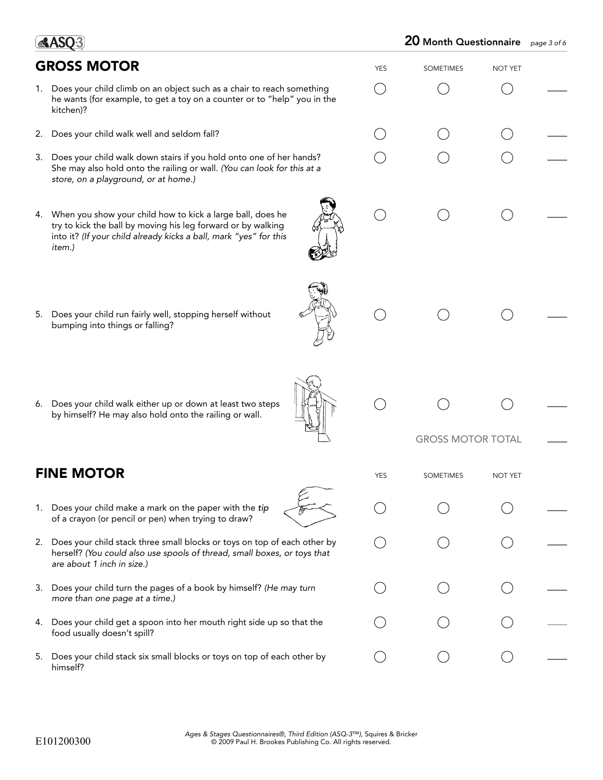## GROSS MOTOR YES SOMETIMES NOT YET 1. Does your child climb on an object such as a chair to reach something  $( )$  $\left($ he wants (for example, to get a toy on a counter or to "help" you in the kitchen)? 2. Does your child walk well and seldom fall? 3. Does your child walk down stairs if you hold onto one of her hands? She may also hold onto the railing or wall. (You can look for this at a store, on a playground, or at home.) 4. When you show your child how to kick a large ball, does he  $($  ) try to kick the ball by moving his leg forward or by walking into it? (If your child already kicks a ball, mark "yes" for this item.) 5. Does your child run fairly well, stopping herself without bumping into things or falling? 6. Does your child walk either up or down at least two steps by himself? He may also hold onto the railing or wall. GROSS MOTOR TOTAL FINE MOTOR YES SOMETIMES NOT YET 1. Does your child make a mark on the paper with the tip of a crayon (or pencil or pen) when trying to draw? 2. Does your child stack three small blocks or toys on top of each other by herself? (You could also use spools of thread, small boxes, or toys that are about 1 inch in size.) 3. Does your child turn the pages of a book by himself? (He may turn more than one page at a time.) 4. Does your child get a spoon into her mouth right side up so that the food usually doesn't spill? 5. Does your child stack six small blocks or toys on top of each other by  $($ ) himself?

**ASO3**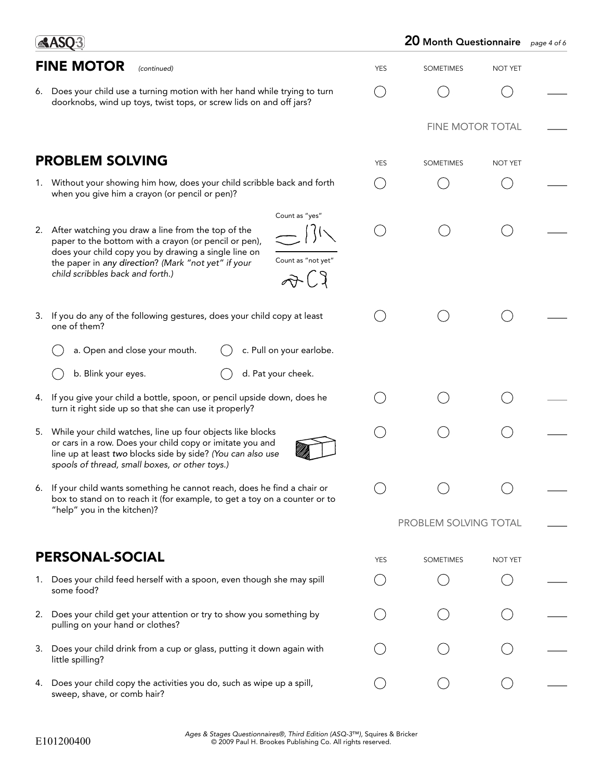|    | <b>AASQ3</b>                                                                                                                                                                                                                                                                                                                               | 20 Month Questionnaire<br>page 4 of 6 |                       |                |  |
|----|--------------------------------------------------------------------------------------------------------------------------------------------------------------------------------------------------------------------------------------------------------------------------------------------------------------------------------------------|---------------------------------------|-----------------------|----------------|--|
|    | <b>FINE MOTOR</b><br>(continued)                                                                                                                                                                                                                                                                                                           | <b>YES</b>                            | <b>SOMETIMES</b>      | <b>NOT YET</b> |  |
|    | 6. Does your child use a turning motion with her hand while trying to turn<br>doorknobs, wind up toys, twist tops, or screw lids on and off jars?                                                                                                                                                                                          |                                       |                       |                |  |
|    |                                                                                                                                                                                                                                                                                                                                            |                                       | FINE MOTOR TOTAL      |                |  |
|    | <b>PROBLEM SOLVING</b>                                                                                                                                                                                                                                                                                                                     | <b>YES</b>                            | <b>SOMETIMES</b>      | NOT YET        |  |
|    | 1. Without your showing him how, does your child scribble back and forth<br>when you give him a crayon (or pencil or pen)?                                                                                                                                                                                                                 |                                       |                       |                |  |
|    | Count as "yes"<br>2. After watching you draw a line from the top of the<br>paper to the bottom with a crayon (or pencil or pen),<br>does your child copy you by drawing a single line on<br>Count as "not yet"<br>the paper in any direction? (Mark "not yet" if your<br>child scribbles back and forth.)<br>$\widehat{\mathcal{A}}^{(2)}$ |                                       |                       |                |  |
| 3. | If you do any of the following gestures, does your child copy at least<br>one of them?                                                                                                                                                                                                                                                     |                                       |                       |                |  |
|    | c. Pull on your earlobe.<br>a. Open and close your mouth.                                                                                                                                                                                                                                                                                  |                                       |                       |                |  |
|    | b. Blink your eyes.<br>d. Pat your cheek.                                                                                                                                                                                                                                                                                                  |                                       |                       |                |  |
| 4. | If you give your child a bottle, spoon, or pencil upside down, does he<br>turn it right side up so that she can use it properly?                                                                                                                                                                                                           |                                       |                       |                |  |
|    | 5. While your child watches, line up four objects like blocks<br>or cars in a row. Does your child copy or imitate you and<br>line up at least two blocks side by side? (You can also use<br>spools of thread, small boxes, or other toys.)                                                                                                |                                       |                       |                |  |
| 6. | If your child wants something he cannot reach, does he find a chair or<br>box to stand on to reach it (for example, to get a toy on a counter or to<br>"help" you in the kitchen)?                                                                                                                                                         |                                       |                       |                |  |
|    |                                                                                                                                                                                                                                                                                                                                            |                                       | PROBLEM SOLVING TOTAL |                |  |
|    | <b>PERSONAL-SOCIAL</b>                                                                                                                                                                                                                                                                                                                     | <b>YES</b>                            | <b>SOMETIMES</b>      | NOT YET        |  |
| 1. | Does your child feed herself with a spoon, even though she may spill<br>some food?                                                                                                                                                                                                                                                         |                                       |                       |                |  |
| 2. | Does your child get your attention or try to show you something by<br>pulling on your hand or clothes?                                                                                                                                                                                                                                     |                                       |                       |                |  |
| 3. | Does your child drink from a cup or glass, putting it down again with<br>little spilling?                                                                                                                                                                                                                                                  |                                       |                       |                |  |
| 4. | Does your child copy the activities you do, such as wipe up a spill,<br>sweep, shave, or comb hair?                                                                                                                                                                                                                                        |                                       |                       |                |  |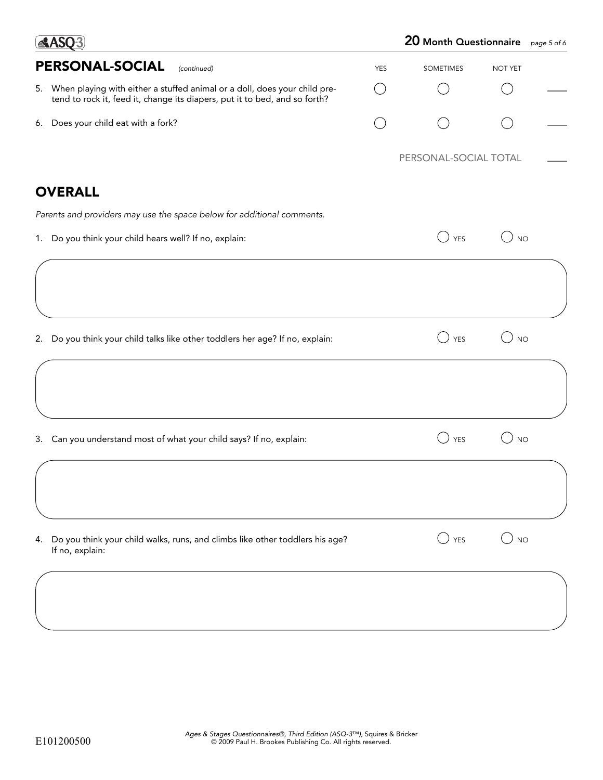| $\triangle$ ASO3                                                                                                                                           |            | 20 Month Questionnaire page 5 of 6 |           |  |
|------------------------------------------------------------------------------------------------------------------------------------------------------------|------------|------------------------------------|-----------|--|
| PERSONAL-SOCIAL<br>(continued)                                                                                                                             | <b>YES</b> | <b>SOMETIMES</b>                   | NOT YET   |  |
| 5. When playing with either a stuffed animal or a doll, does your child pre-<br>tend to rock it, feed it, change its diapers, put it to bed, and so forth? |            |                                    |           |  |
| 6. Does your child eat with a fork?                                                                                                                        |            |                                    |           |  |
|                                                                                                                                                            |            | PERSONAL-SOCIAL TOTAL              |           |  |
| <b>OVERALL</b>                                                                                                                                             |            |                                    |           |  |
| Parents and providers may use the space below for additional comments.                                                                                     |            |                                    |           |  |
| 1. Do you think your child hears well? If no, explain:                                                                                                     |            | <b>YES</b><br>$\qquad \qquad \Box$ | <b>NO</b> |  |
|                                                                                                                                                            |            |                                    |           |  |
|                                                                                                                                                            |            |                                    |           |  |
| 2. Do you think your child talks like other toddlers her age? If no, explain:                                                                              |            | <b>YES</b>                         | <b>NO</b> |  |
|                                                                                                                                                            |            |                                    |           |  |
|                                                                                                                                                            |            |                                    |           |  |
| 3. Can you understand most of what your child says? If no, explain:                                                                                        |            | <b>YES</b>                         | <b>NO</b> |  |
|                                                                                                                                                            |            |                                    |           |  |
|                                                                                                                                                            |            |                                    |           |  |
| Do you think your child walks, runs, and climbs like other toddlers his age?<br>4.<br>If no, explain:                                                      |            | $\bigcup$ YES                      | $)$ NO    |  |
|                                                                                                                                                            |            |                                    |           |  |
|                                                                                                                                                            |            |                                    |           |  |
|                                                                                                                                                            |            |                                    |           |  |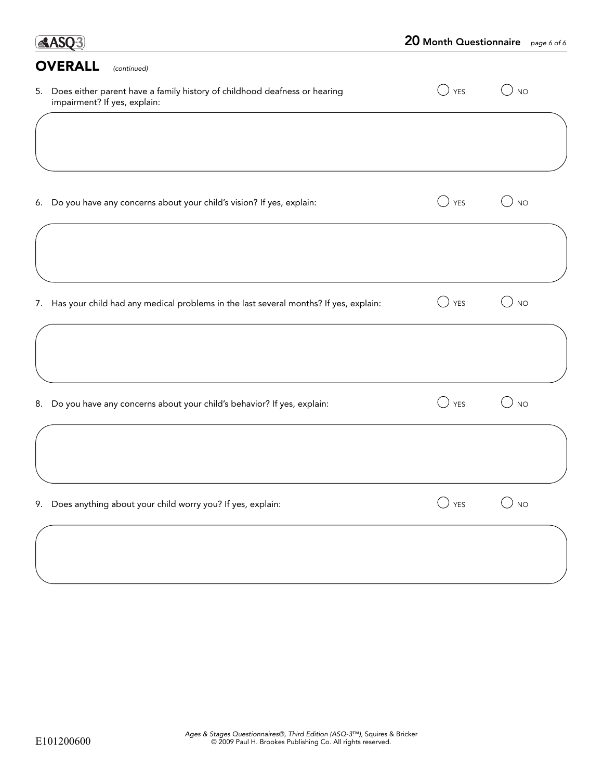| <b>AASO3</b>                                                                                                 |                                                           | 20 Month Questionnaire page 6 of 6 |
|--------------------------------------------------------------------------------------------------------------|-----------------------------------------------------------|------------------------------------|
| <b>OVERALL</b><br>(continued)                                                                                |                                                           |                                    |
| 5. Does either parent have a family history of childhood deafness or hearing<br>impairment? If yes, explain: | <b>YES</b>                                                | <b>NO</b>                          |
|                                                                                                              |                                                           |                                    |
| Do you have any concerns about your child's vision? If yes, explain:<br>6.                                   | <b>YES</b>                                                | <b>NO</b>                          |
|                                                                                                              |                                                           |                                    |
| Has your child had any medical problems in the last several months? If yes, explain:<br>7.                   | <b>YES</b>                                                | <b>NO</b>                          |
|                                                                                                              |                                                           |                                    |
| Do you have any concerns about your child's behavior? If yes, explain:<br>8.                                 | <b>YES</b>                                                | <b>NO</b>                          |
|                                                                                                              |                                                           |                                    |
| Does anything about your child worry you? If yes, explain:<br>9.                                             | $\left(\begin{array}{c} \end{array}\right)$<br><b>YES</b> | <b>NO</b>                          |
|                                                                                                              |                                                           |                                    |